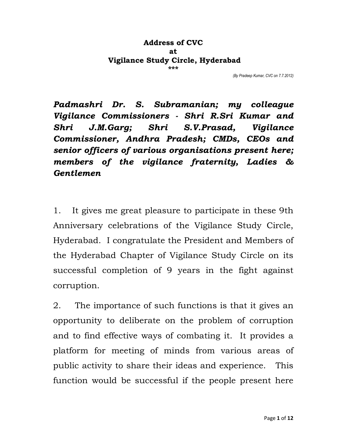## **Address of CVC at Vigilance Study Circle, Hyderabad \*\*\***

*(By Pradeep Kumar, CVC on 7.7.2012)* 

*Padmashri Dr. S. Subramanian; my colleague Vigilance Commissioners - Shri R.Sri Kumar and Shri J.M.Garg; Shri S.V.Prasad, Vigilance Commissioner, Andhra Pradesh; CMDs, CEOs and senior officers of various organisations present here; members of the vigilance fraternity, Ladies & Gentlemen* 

1. It gives me great pleasure to participate in these 9th Anniversary celebrations of the Vigilance Study Circle, Hyderabad. I congratulate the President and Members of the Hyderabad Chapter of Vigilance Study Circle on its successful completion of 9 years in the fight against corruption.

2. The importance of such functions is that it gives an opportunity to deliberate on the problem of corruption and to find effective ways of combating it. It provides a platform for meeting of minds from various areas of public activity to share their ideas and experience. This function would be successful if the people present here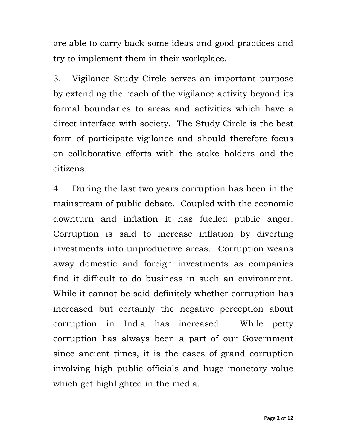are able to carry back some ideas and good practices and try to implement them in their workplace.

3. Vigilance Study Circle serves an important purpose by extending the reach of the vigilance activity beyond its formal boundaries to areas and activities which have a direct interface with society. The Study Circle is the best form of participate vigilance and should therefore focus on collaborative efforts with the stake holders and the citizens.

4. During the last two years corruption has been in the mainstream of public debate. Coupled with the economic downturn and inflation it has fuelled public anger. Corruption is said to increase inflation by diverting investments into unproductive areas. Corruption weans away domestic and foreign investments as companies find it difficult to do business in such an environment. While it cannot be said definitely whether corruption has increased but certainly the negative perception about corruption in India has increased. While petty corruption has always been a part of our Government since ancient times, it is the cases of grand corruption involving high public officials and huge monetary value which get highlighted in the media.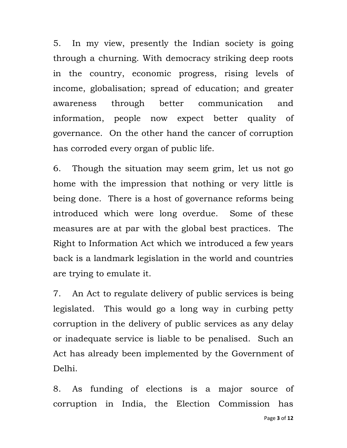5. In my view, presently the Indian society is going through a churning. With democracy striking deep roots in the country, economic progress, rising levels of income, globalisation; spread of education; and greater awareness through better communication and information, people now expect better quality of governance. On the other hand the cancer of corruption has corroded every organ of public life.

6. Though the situation may seem grim, let us not go home with the impression that nothing or very little is being done. There is a host of governance reforms being introduced which were long overdue. Some of these measures are at par with the global best practices. The Right to Information Act which we introduced a few years back is a landmark legislation in the world and countries are trying to emulate it.

7. An Act to regulate delivery of public services is being legislated. This would go a long way in curbing petty corruption in the delivery of public services as any delay or inadequate service is liable to be penalised. Such an Act has already been implemented by the Government of Delhi.

8. As funding of elections is a major source of corruption in India, the Election Commission has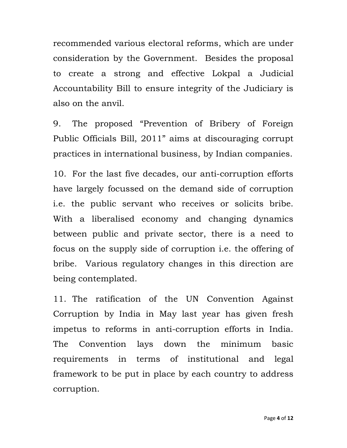recommended various electoral reforms, which are under consideration by the Government. Besides the proposal to create a strong and effective Lokpal a Judicial Accountability Bill to ensure integrity of the Judiciary is also on the anvil.

9. The proposed "Prevention of Bribery of Foreign Public Officials Bill, 2011" aims at discouraging corrupt practices in international business, by Indian companies.

10. For the last five decades, our anti-corruption efforts have largely focussed on the demand side of corruption i.e. the public servant who receives or solicits bribe. With a liberalised economy and changing dynamics between public and private sector, there is a need to focus on the supply side of corruption i.e. the offering of bribe. Various regulatory changes in this direction are being contemplated.

11. The ratification of the UN Convention Against Corruption by India in May last year has given fresh impetus to reforms in anti-corruption efforts in India. The Convention lays down the minimum basic requirements in terms of institutional and legal framework to be put in place by each country to address corruption.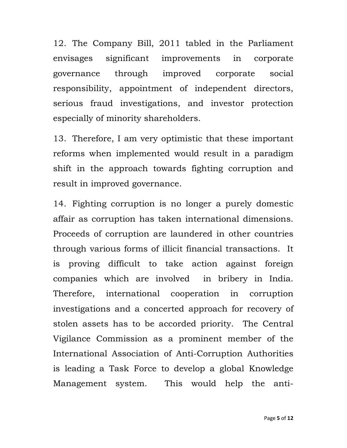12. The Company Bill, 2011 tabled in the Parliament envisages significant improvements in corporate governance through improved corporate social responsibility, appointment of independent directors, serious fraud investigations, and investor protection especially of minority shareholders.

13. Therefore, I am very optimistic that these important reforms when implemented would result in a paradigm shift in the approach towards fighting corruption and result in improved governance.

14. Fighting corruption is no longer a purely domestic affair as corruption has taken international dimensions. Proceeds of corruption are laundered in other countries through various forms of illicit financial transactions. It is proving difficult to take action against foreign companies which are involved in bribery in India. Therefore, international cooperation in corruption investigations and a concerted approach for recovery of stolen assets has to be accorded priority. The Central Vigilance Commission as a prominent member of the International Association of Anti-Corruption Authorities is leading a Task Force to develop a global Knowledge Management system. This would help the anti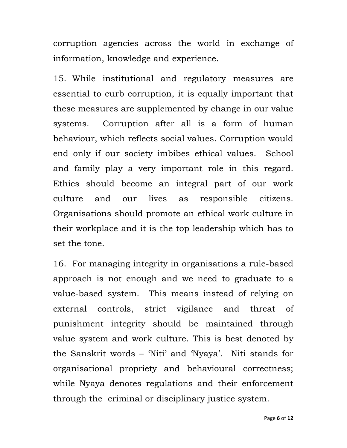corruption agencies across the world in exchange of information, knowledge and experience.

15. While institutional and regulatory measures are essential to curb corruption, it is equally important that these measures are supplemented by change in our value systems. Corruption after all is a form of human behaviour, which reflects social values. Corruption would end only if our society imbibes ethical values. School and family play a very important role in this regard. Ethics should become an integral part of our work culture and our lives as responsible citizens. Organisations should promote an ethical work culture in their workplace and it is the top leadership which has to set the tone.

16. For managing integrity in organisations a rule-based approach is not enough and we need to graduate to a value-based system. This means instead of relying on external controls, strict vigilance and threat of punishment integrity should be maintained through value system and work culture. This is best denoted by the Sanskrit words – 'Niti' and 'Nyaya'. Niti stands for organisational propriety and behavioural correctness; while Nyaya denotes regulations and their enforcement through the criminal or disciplinary justice system.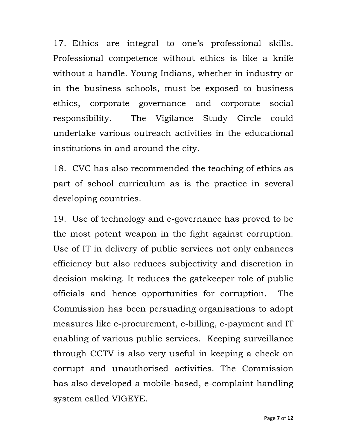17. Ethics are integral to one's professional skills. Professional competence without ethics is like a knife without a handle. Young Indians, whether in industry or in the business schools, must be exposed to business ethics, corporate governance and corporate social responsibility. The Vigilance Study Circle could undertake various outreach activities in the educational institutions in and around the city.

18. CVC has also recommended the teaching of ethics as part of school curriculum as is the practice in several developing countries.

19. Use of technology and e-governance has proved to be the most potent weapon in the fight against corruption. Use of IT in delivery of public services not only enhances efficiency but also reduces subjectivity and discretion in decision making. It reduces the gatekeeper role of public officials and hence opportunities for corruption. The Commission has been persuading organisations to adopt measures like e-procurement, e-billing, e-payment and IT enabling of various public services. Keeping surveillance through CCTV is also very useful in keeping a check on corrupt and unauthorised activities. The Commission has also developed a mobile-based, e-complaint handling system called VIGEYE.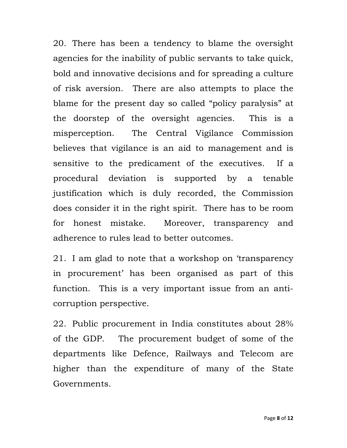20. There has been a tendency to blame the oversight agencies for the inability of public servants to take quick, bold and innovative decisions and for spreading a culture of risk aversion. There are also attempts to place the blame for the present day so called "policy paralysis" at the doorstep of the oversight agencies. This is a misperception. The Central Vigilance Commission believes that vigilance is an aid to management and is sensitive to the predicament of the executives. If a procedural deviation is supported by a tenable justification which is duly recorded, the Commission does consider it in the right spirit. There has to be room for honest mistake. Moreover, transparency and adherence to rules lead to better outcomes.

21. I am glad to note that a workshop on 'transparency in procurement' has been organised as part of this function. This is a very important issue from an anticorruption perspective.

22. Public procurement in India constitutes about 28% of the GDP. The procurement budget of some of the departments like Defence, Railways and Telecom are higher than the expenditure of many of the State Governments.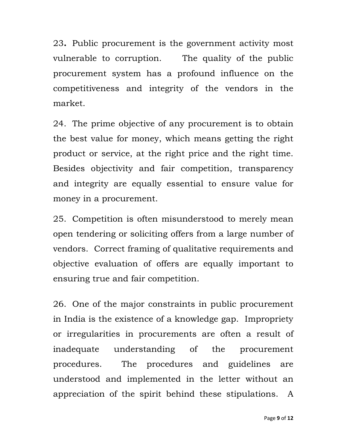23**.** Public procurement is the government activity most vulnerable to corruption. The quality of the public procurement system has a profound influence on the competitiveness and integrity of the vendors in the market.

24. The prime objective of any procurement is to obtain the best value for money, which means getting the right product or service, at the right price and the right time. Besides objectivity and fair competition, transparency and integrity are equally essential to ensure value for money in a procurement.

25. Competition is often misunderstood to merely mean open tendering or soliciting offers from a large number of vendors. Correct framing of qualitative requirements and objective evaluation of offers are equally important to ensuring true and fair competition.

26. One of the major constraints in public procurement in India is the existence of a knowledge gap. Impropriety or irregularities in procurements are often a result of inadequate understanding of the procurement procedures. The procedures and guidelines are understood and implemented in the letter without an appreciation of the spirit behind these stipulations. A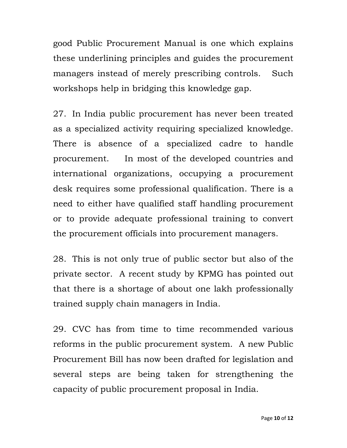good Public Procurement Manual is one which explains these underlining principles and guides the procurement managers instead of merely prescribing controls. Such workshops help in bridging this knowledge gap.

27. In India public procurement has never been treated as a specialized activity requiring specialized knowledge. There is absence of a specialized cadre to handle procurement. In most of the developed countries and international organizations, occupying a procurement desk requires some professional qualification. There is a need to either have qualified staff handling procurement or to provide adequate professional training to convert the procurement officials into procurement managers.

28. This is not only true of public sector but also of the private sector. A recent study by KPMG has pointed out that there is a shortage of about one lakh professionally trained supply chain managers in India.

29. CVC has from time to time recommended various reforms in the public procurement system. A new Public Procurement Bill has now been drafted for legislation and several steps are being taken for strengthening the capacity of public procurement proposal in India.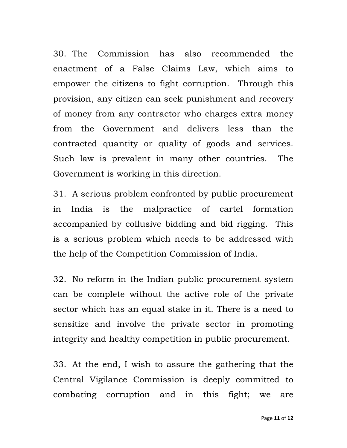30. The Commission has also recommended the enactment of a False Claims Law, which aims to empower the citizens to fight corruption. Through this provision, any citizen can seek punishment and recovery of money from any contractor who charges extra money from the Government and delivers less than the contracted quantity or quality of goods and services. Such law is prevalent in many other countries. The Government is working in this direction.

31. A serious problem confronted by public procurement in India is the malpractice of cartel formation accompanied by collusive bidding and bid rigging. This is a serious problem which needs to be addressed with the help of the Competition Commission of India.

32. No reform in the Indian public procurement system can be complete without the active role of the private sector which has an equal stake in it. There is a need to sensitize and involve the private sector in promoting integrity and healthy competition in public procurement.

33. At the end, I wish to assure the gathering that the Central Vigilance Commission is deeply committed to combating corruption and in this fight; we are